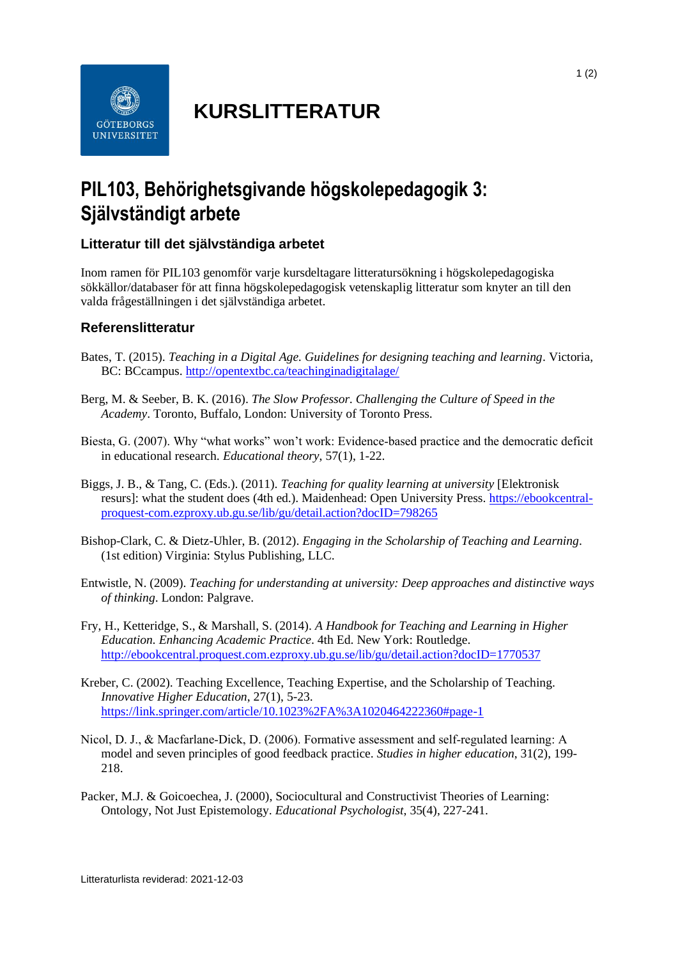

## **KURSLITTERATUR**

## **PIL103, Behörighetsgivande högskolepedagogik 3: Självständigt arbete**

## **Litteratur till det självständiga arbetet**

Inom ramen för PIL103 genomför varje kursdeltagare litteratursökning i högskolepedagogiska sökkällor/databaser för att finna högskolepedagogisk vetenskaplig litteratur som knyter an till den valda frågeställningen i det självständiga arbetet.

## **Referenslitteratur**

- Bates, T. (2015). *Teaching in a Digital Age. Guidelines for designing teaching and learning*. Victoria, BC: BCcampus.<http://opentextbc.ca/teachinginadigitalage/>
- Berg, M. & Seeber, B. K. (2016). *The Slow Professor. Challenging the Culture of Speed in the Academy*. Toronto, Buffalo, London: University of Toronto Press.
- Biesta, G. (2007). Why "what works" won't work: Evidence-based practice and the democratic deficit in educational research. *Educational theory*, 57(1), 1-22.
- Biggs, J. B., & Tang, C. (Eds.). (2011). *Teaching for quality learning at university* [Elektronisk resurs]: what the student does (4th ed.). Maidenhead: Open University Press. [https://ebookcentral](https://ebookcentral-proquest-com.ezproxy.ub.gu.se/lib/gu/detail.action?docID=798265)[proquest-com.ezproxy.ub.gu.se/lib/gu/detail.action?docID=798265](https://ebookcentral-proquest-com.ezproxy.ub.gu.se/lib/gu/detail.action?docID=798265)
- Bishop-Clark, C. & Dietz-Uhler, B. (2012). *Engaging in the Scholarship of Teaching and Learning*. (1st edition) Virginia: Stylus Publishing, LLC.
- Entwistle, N. (2009). *Teaching for understanding at university: Deep approaches and distinctive ways of thinking*. London: Palgrave.
- Fry, H., Ketteridge, S., & Marshall, S. (2014). *A Handbook for Teaching and Learning in Higher Education. Enhancing Academic Practice*. 4th Ed. New York: Routledge. <http://ebookcentral.proquest.com.ezproxy.ub.gu.se/lib/gu/detail.action?docID=1770537>
- Kreber, C. (2002). Teaching Excellence, Teaching Expertise, and the Scholarship of Teaching. *Innovative Higher Education*, 27(1), 5-23. <https://link.springer.com/article/10.1023%2FA%3A1020464222360#page-1>
- Nicol, D. J., & Macfarlane‐Dick, D. (2006). Formative assessment and self‐regulated learning: A model and seven principles of good feedback practice. *Studies in higher education*, 31(2), 199- 218.
- Packer, M.J. & Goicoechea, J. (2000), Sociocultural and Constructivist Theories of Learning: Ontology, Not Just Epistemology. *Educational Psychologist*, 35(4), 227-241.